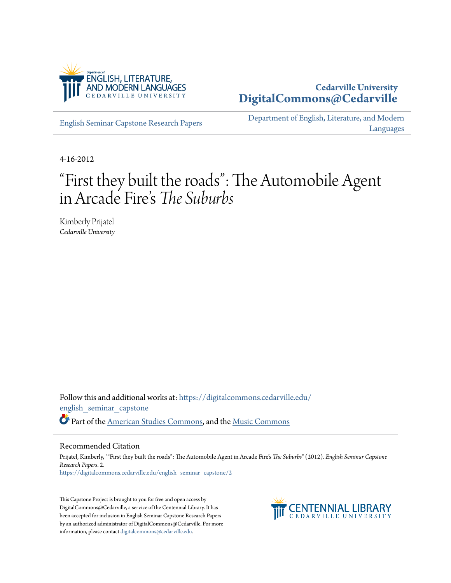

# **Cedarville University [DigitalCommons@Cedarville](https://digitalcommons.cedarville.edu?utm_source=digitalcommons.cedarville.edu%2Fenglish_seminar_capstone%2F2&utm_medium=PDF&utm_campaign=PDFCoverPages)**

[English Seminar Capstone Research Papers](https://digitalcommons.cedarville.edu/english_seminar_capstone?utm_source=digitalcommons.cedarville.edu%2Fenglish_seminar_capstone%2F2&utm_medium=PDF&utm_campaign=PDFCoverPages)

[Department of English, Literature, and Modern](https://digitalcommons.cedarville.edu/english_literature_modern_languages?utm_source=digitalcommons.cedarville.edu%2Fenglish_seminar_capstone%2F2&utm_medium=PDF&utm_campaign=PDFCoverPages) [Languages](https://digitalcommons.cedarville.edu/english_literature_modern_languages?utm_source=digitalcommons.cedarville.edu%2Fenglish_seminar_capstone%2F2&utm_medium=PDF&utm_campaign=PDFCoverPages)

4-16-2012

# "First they built the roads": The Automobile Agent in Arcade Fire s *The Suburbs* י<br>'י

Kimberly Prijatel *Cedarville University*

Follow this and additional works at: [https://digitalcommons.cedarville.edu/](https://digitalcommons.cedarville.edu/english_seminar_capstone?utm_source=digitalcommons.cedarville.edu%2Fenglish_seminar_capstone%2F2&utm_medium=PDF&utm_campaign=PDFCoverPages) [english\\_seminar\\_capstone](https://digitalcommons.cedarville.edu/english_seminar_capstone?utm_source=digitalcommons.cedarville.edu%2Fenglish_seminar_capstone%2F2&utm_medium=PDF&utm_campaign=PDFCoverPages) Part of the [American Studies Commons](http://network.bepress.com/hgg/discipline/439?utm_source=digitalcommons.cedarville.edu%2Fenglish_seminar_capstone%2F2&utm_medium=PDF&utm_campaign=PDFCoverPages), and the [Music Commons](http://network.bepress.com/hgg/discipline/518?utm_source=digitalcommons.cedarville.edu%2Fenglish_seminar_capstone%2F2&utm_medium=PDF&utm_campaign=PDFCoverPages)

#### Recommended Citation

Prijatel, Kimberly, ""First they built the roads": The Automobile Agent in Arcade Fire's *The Suburbs*" (2012). *English Seminar Capstone Research Papers*. 2. [https://digitalcommons.cedarville.edu/english\\_seminar\\_capstone/2](https://digitalcommons.cedarville.edu/english_seminar_capstone/2?utm_source=digitalcommons.cedarville.edu%2Fenglish_seminar_capstone%2F2&utm_medium=PDF&utm_campaign=PDFCoverPages)

This Capstone Project is brought to you for free and open access by DigitalCommons@Cedarville, a service of the Centennial Library. It has been accepted for inclusion in English Seminar Capstone Research Papers by an authorized administrator of DigitalCommons@Cedarville. For more information, please contact [digitalcommons@cedarville.edu.](mailto:digitalcommons@cedarville.edu)

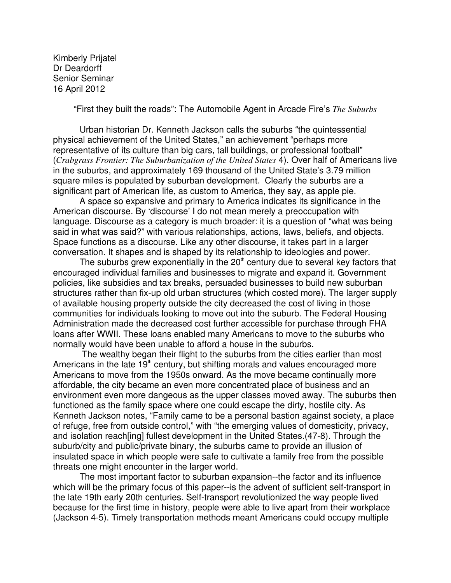Kimberly Prijatel Dr Deardorff Senior Seminar 16 April 2012

"First they built the roads": The Automobile Agent in Arcade Fire's *The Suburbs*

Urban historian Dr. Kenneth Jackson calls the suburbs "the quintessential physical achievement of the United States," an achievement "perhaps more representative of its culture than big cars, tall buildings, or professional football" (*Crabgrass Frontier: The Suburbanization of the United States* 4). Over half of Americans live in the suburbs, and approximately 169 thousand of the United State's 3.79 million square miles is populated by suburban development. Clearly the suburbs are a significant part of American life, as custom to America, they say, as apple pie.

A space so expansive and primary to America indicates its significance in the American discourse. By 'discourse' I do not mean merely a preoccupation with language. Discourse as a category is much broader: it is a question of "what was being said in what was said?" with various relationships, actions, laws, beliefs, and objects. Space functions as a discourse. Like any other discourse, it takes part in a larger conversation. It shapes and is shaped by its relationship to ideologies and power.

The suburbs grew exponentially in the  $20<sup>th</sup>$  century due to several key factors that encouraged individual families and businesses to migrate and expand it. Government policies, like subsidies and tax breaks, persuaded businesses to build new suburban structures rather than fix-up old urban structures (which costed more). The larger supply of available housing property outside the city decreased the cost of living in those communities for individuals looking to move out into the suburb. The Federal Housing Administration made the decreased cost further accessible for purchase through FHA loans after WWII. These loans enabled many Americans to move to the suburbs who normally would have been unable to afford a house in the suburbs.

 The wealthy began their flight to the suburbs from the cities earlier than most Americans in the late  $19<sup>th</sup>$  century, but shifting morals and values encouraged more Americans to move from the 1950s onward. As the move became continually more affordable, the city became an even more concentrated place of business and an environment even more dangeous as the upper classes moved away. The suburbs then functioned as the family space where one could escape the dirty, hostile city. As Kenneth Jackson notes, "Family came to be a personal bastion against society, a place of refuge, free from outside control," with "the emerging values of domesticity, privacy, and isolation reach[ing] fullest development in the United States.(47-8). Through the suburb/city and public/private binary, the suburbs came to provide an illusion of insulated space in which people were safe to cultivate a family free from the possible threats one might encounter in the larger world.

 The most important factor to suburban expansion--the factor and its influence which will be the primary focus of this paper--is the advent of sufficient self-transport in the late 19th early 20th centuries. Self-transport revolutionized the way people lived because for the first time in history, people were able to live apart from their workplace (Jackson 4-5). Timely transportation methods meant Americans could occupy multiple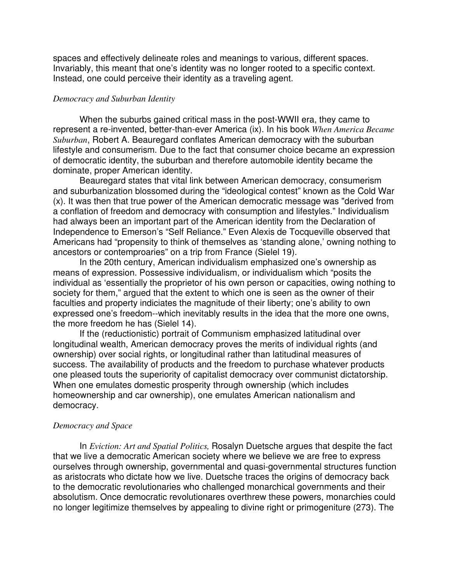spaces and effectively delineate roles and meanings to various, different spaces. Invariably, this meant that one's identity was no longer rooted to a specific context. Instead, one could perceive their identity as a traveling agent.

### *Democracy and Suburban Identity*

 When the suburbs gained critical mass in the post-WWII era, they came to represent a re-invented, better-than-ever America (ix). In his book *When America Became Suburban*, Robert A. Beauregard conflates American democracy with the suburban lifestyle and consumerism. Due to the fact that consumer choice became an expression of democratic identity, the suburban and therefore automobile identity became the dominate, proper American identity.

 Beauregard states that vital link between American democracy, consumerism and suburbanization blossomed during the "ideological contest" known as the Cold War (x). It was then that true power of the American democratic message was "derived from a conflation of freedom and democracy with consumption and lifestyles." Individualism had always been an important part of the American identity from the Declaration of Independence to Emerson's "Self Reliance." Even Alexis de Tocqueville observed that Americans had "propensity to think of themselves as 'standing alone,' owning nothing to ancestors or contemproaries" on a trip from France (Sielel 19).

 In the 20th century, American individualism emphasized one's ownership as means of expression. Possessive individualism, or individualism which "posits the individual as 'essentially the proprietor of his own person or capacities, owing nothing to society for them," argued that the extent to which one is seen as the owner of their faculties and property indiciates the magnitude of their liberty; one's ability to own expressed one's freedom--which inevitably results in the idea that the more one owns, the more freedom he has (Sielel 14).

 If the (reductionistic) portrait of Communism emphasized latitudinal over longitudinal wealth, American democracy proves the merits of individual rights (and ownership) over social rights, or longitudinal rather than latitudinal measures of success. The availability of products and the freedom to purchase whatever products one pleased touts the superiority of capitalist democracy over communist dictatorship. When one emulates domestic prosperity through ownership (which includes homeownership and car ownership), one emulates American nationalism and democracy.

#### *Democracy and Space*

 In *Eviction: Art and Spatial Politics,* Rosalyn Duetsche argues that despite the fact that we live a democratic American society where we believe we are free to express ourselves through ownership, governmental and quasi-governmental structures function as aristocrats who dictate how we live. Duetsche traces the origins of democracy back to the democratic revolutionaries who challenged monarchical governments and their absolutism. Once democratic revolutionares overthrew these powers, monarchies could no longer legitimize themselves by appealing to divine right or primogeniture (273). The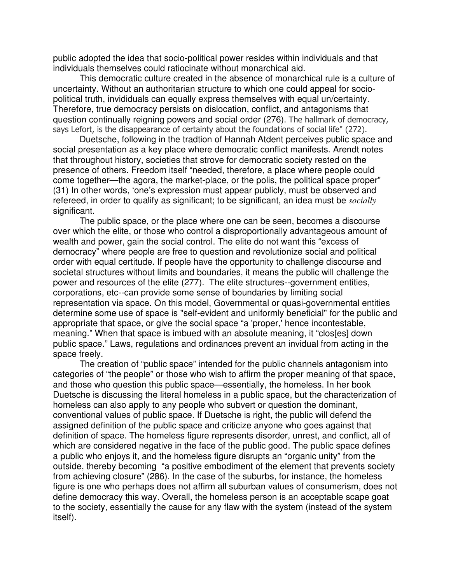public adopted the idea that socio-political power resides within individuals and that individuals themselves could ratiocinate without monarchical aid.

 This democratic culture created in the absence of monarchical rule is a culture of uncertainty. Without an authoritarian structure to which one could appeal for sociopolitical truth, invididuals can equally express themselves with equal un/certainty. Therefore, true democracy persists on dislocation, conflict, and antagonisms that question continually reigning powers and social order (276). The hallmark of democracy, says Lefort, is the disappearance of certainty about the foundations of social life" (272).

 Duetsche, following in the tradtion of Hannah Atdent perceives public space and social presentation as a key place where democratic conflict manifests. Arendt notes that throughout history, societies that strove for democratic society rested on the presence of others. Freedom itself "needed, therefore, a place where people could come together—the agora, the market-place, or the polis, the political space proper" (31) In other words, 'one's expression must appear publicly, must be observed and refereed, in order to qualify as significant; to be significant, an idea must be *socially* significant.

 The public space, or the place where one can be seen, becomes a discourse over which the elite, or those who control a disproportionally advantageous amount of wealth and power, gain the social control. The elite do not want this "excess of democracy" where people are free to question and revolutionize social and political order with equal certitude. If people have the opportunity to challenge discourse and societal structures without limits and boundaries, it means the public will challenge the power and resources of the elite (277). The elite structures--government entities, corporations, etc--can provide some sense of boundaries by limiting social representation via space. On this model, Governmental or quasi-governmental entities determine some use of space is "self-evident and uniformly beneficial" for the public and appropriate that space, or give the social space "a 'proper,' hence incontestable, meaning." When that space is imbued with an absolute meaning, it "clos[es] down public space." Laws, regulations and ordinances prevent an invidual from acting in the space freely.

 The creation of "public space" intended for the public channels antagonism into categories of "the people" or those who wish to affirm the proper meaning of that space, and those who question this public space—essentially, the homeless. In her book Duetsche is discussing the literal homeless in a public space, but the characterization of homeless can also apply to any people who subvert or question the dominant, conventional values of public space. If Duetsche is right, the public will defend the assigned definition of the public space and criticize anyone who goes against that definition of space. The homeless figure represents disorder, unrest, and conflict, all of which are considered negative in the face of the public good. The public space defines a public who enjoys it, and the homeless figure disrupts an "organic unity" from the outside, thereby becoming "a positive embodiment of the element that prevents society from achieving closure" (286). In the case of the suburbs, for instance, the homeless figure is one who perhaps does not affirm all suburban values of consumerism, does not define democracy this way. Overall, the homeless person is an acceptable scape goat to the society, essentially the cause for any flaw with the system (instead of the system itself).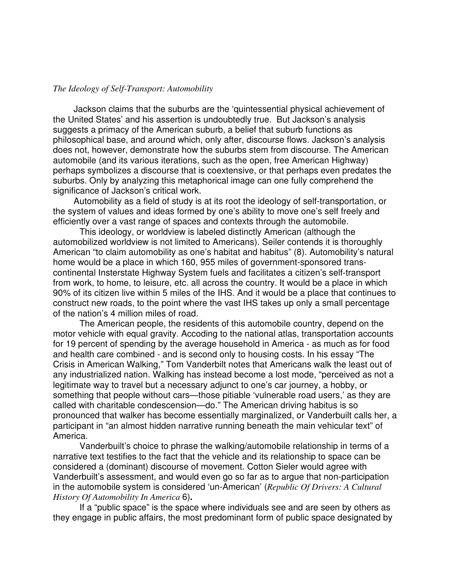### *The Ideology of Self-Transport: Automobility*

 Jackson claims that the suburbs are the 'quintessential physical achievement of the United States' and his assertion is undoubtedly true. But Jackson's analysis suggests a primacy of the American suburb, a belief that suburb functions as philosophical base, and around which, only after, discourse flows. Jackson's analysis does not, however, demonstrate how the suburbs stem from discourse. The American automobile (and its various iterations, such as the open, free American Highway) perhaps symbolizes a discourse that is coextensive, or that perhaps even predates the suburbs. Only by analyzing this metaphorical image can one fully comprehend the significance of Jackson's critical work.

 Automobility as a field of study is at its root the ideology of self-transportation, or the system of values and ideas formed by one's ability to move one's self freely and efficiently over a vast range of spaces and contexts through the automobile.

 This ideology, or worldview is labeled distinctly American (although the automobilized worldview is not limited to Americans). Seiler contends it is thoroughly American "to claim automobility as one's habitat and habitus" (8). Automobility's natural home would be a place in which 160, 955 miles of government-sponsored transcontinental Insterstate Highway System fuels and facilitates a citizen's self-transport from work, to home, to leisure, etc. all across the country. It would be a place in which 90% of its citizen live within 5 miles of the IHS. And it would be a place that continues to construct new roads, to the point where the vast IHS takes up only a small percentage of the nation's 4 million miles of road.

 The American people, the residents of this automobile country, depend on the motor vehicle with equal gravity. Accoding to the national atlas, transportation accounts for 19 percent of spending by the average household in America - as much as for food and health care combined - and is second only to housing costs. In his essay "The Crisis in American Walking," Tom Vanderbilt notes that Americans walk the least out of any industrialized nation. Walking has instead become a lost mode, "perceived as not a legitimate way to travel but a necessary adjunct to one's car journey, a hobby, or something that people without cars—those pitiable 'vulnerable road users,' as they are called with charitable condescension—do." The American driving habitus is so pronounced that walker has become essentially marginalized, or Vanderbuilt calls her, a participant in "an almost hidden narrative running beneath the main vehicular text" of America.

 Vanderbuilt's choice to phrase the walking/automobile relationship in terms of a narrative text testifies to the fact that the vehicle and its relationship to space can be considered a (dominant) discourse of movement. Cotton Sieler would agree with Vanderbuilt's assessment, and would even go so far as to argue that non-participation in the automobile system is considered 'un-American' (*Republic Of Drivers: A Cultural History Of Automobility In America* 6)**.** 

 If a "public space" is the space where individuals see and are seen by others as they engage in public affairs, the most predominant form of public space designated by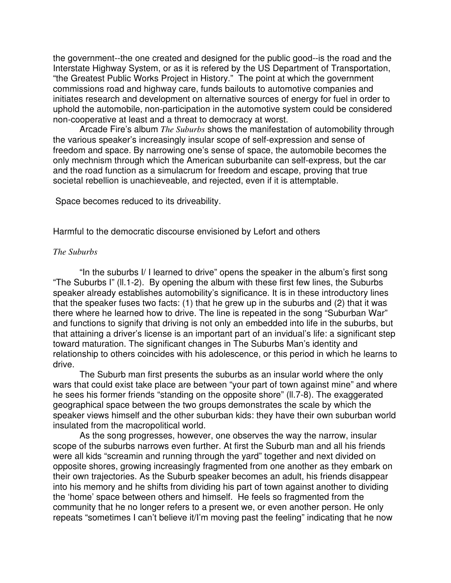the government--the one created and designed for the public good--is the road and the Interstate Highway System, or as it is refered by the US Department of Transportation, "the Greatest Public Works Project in History." The point at which the government commissions road and highway care, funds bailouts to automotive companies and initiates research and development on alternative sources of energy for fuel in order to uphold the automobile, non-participation in the automotive system could be considered non-cooperative at least and a threat to democracy at worst.

 Arcade Fire's album *The Suburbs* shows the manifestation of automobility through the various speaker's increasingly insular scope of self-expression and sense of freedom and space. By narrowing one's sense of space, the automobile becomes the only mechnism through which the American suburbanite can self-express, but the car and the road function as a simulacrum for freedom and escape, proving that true societal rebellion is unachieveable, and rejected, even if it is attemptable.

Space becomes reduced to its driveability.

Harmful to the democratic discourse envisioned by Lefort and others

## *The Suburbs*

 "In the suburbs I/ I learned to drive" opens the speaker in the album's first song "The Suburbs I" (ll.1-2). By opening the album with these first few lines, the Suburbs speaker already establishes automobility's significance. It is in these introductory lines that the speaker fuses two facts: (1) that he grew up in the suburbs and (2) that it was there where he learned how to drive. The line is repeated in the song "Suburban War" and functions to signify that driving is not only an embedded into life in the suburbs, but that attaining a driver's license is an important part of an invidual's life: a significant step toward maturation. The significant changes in The Suburbs Man's identity and relationship to others coincides with his adolescence, or this period in which he learns to drive.

 The Suburb man first presents the suburbs as an insular world where the only wars that could exist take place are between "your part of town against mine" and where he sees his former friends "standing on the opposite shore" (ll.7-8). The exaggerated geographical space between the two groups demonstrates the scale by which the speaker views himself and the other suburban kids: they have their own suburban world insulated from the macropolitical world.

 As the song progresses, however, one observes the way the narrow, insular scope of the suburbs narrows even further. At first the Suburb man and all his friends were all kids "screamin and running through the yard" together and next divided on opposite shores, growing increasingly fragmented from one another as they embark on their own trajectories. As the Suburb speaker becomes an adult, his friends disappear into his memory and he shifts from dividing his part of town against another to dividing the 'home' space between others and himself. He feels so fragmented from the community that he no longer refers to a present we, or even another person. He only repeats "sometimes I can't believe it/I'm moving past the feeling" indicating that he now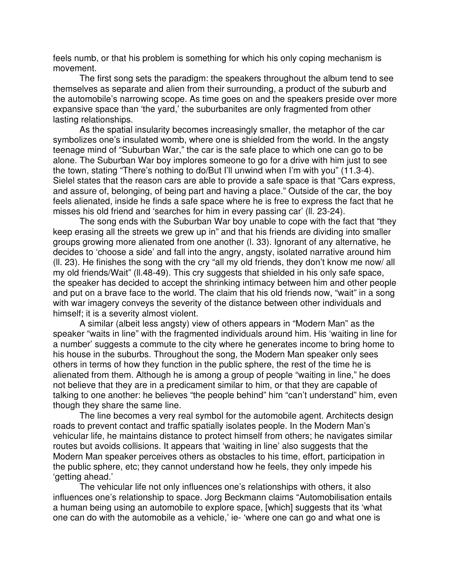feels numb, or that his problem is something for which his only coping mechanism is movement.

 The first song sets the paradigm: the speakers throughout the album tend to see themselves as separate and alien from their surrounding, a product of the suburb and the automobile's narrowing scope. As time goes on and the speakers preside over more expansive space than 'the yard,' the suburbanites are only fragmented from other lasting relationships.

 As the spatial insularity becomes increasingly smaller, the metaphor of the car symbolizes one's insulated womb, where one is shielded from the world. In the angsty teenage mind of "Suburban War," the car is the safe place to which one can go to be alone. The Suburban War boy implores someone to go for a drive with him just to see the town, stating "There's nothing to do/But I'll unwind when I'm with you" (11.3-4). Sielel states that the reason cars are able to provide a safe space is that "Cars express, and assure of, belonging, of being part and having a place." Outside of the car, the boy feels alienated, inside he finds a safe space where he is free to express the fact that he misses his old friend and 'searches for him in every passing car' (ll. 23-24).

 The song ends with the Suburban War boy unable to cope with the fact that "they keep erasing all the streets we grew up in" and that his friends are dividing into smaller groups growing more alienated from one another (l. 33). Ignorant of any alternative, he decides to 'choose a side' and fall into the angry, angsty, isolated narrative around him (ll. 23). He finishes the song with the cry "all my old friends, they don't know me now/ all my old friends/Wait" (ll.48-49). This cry suggests that shielded in his only safe space, the speaker has decided to accept the shrinking intimacy between him and other people and put on a brave face to the world. The claim that his old friends now, "wait" in a song with war imagery conveys the severity of the distance between other individuals and himself; it is a severity almost violent.

 A similar (albeit less angsty) view of others appears in "Modern Man" as the speaker "waits in line" with the fragmented individuals around him. His 'waiting in line for a number' suggests a commute to the city where he generates income to bring home to his house in the suburbs. Throughout the song, the Modern Man speaker only sees others in terms of how they function in the public sphere, the rest of the time he is alienated from them. Although he is among a group of people "waiting in line," he does not believe that they are in a predicament similar to him, or that they are capable of talking to one another: he believes "the people behind" him "can't understand" him, even though they share the same line.

 The line becomes a very real symbol for the automobile agent. Architects design roads to prevent contact and traffic spatially isolates people. In the Modern Man's vehicular life, he maintains distance to protect himself from others; he navigates similar routes but avoids collisions. It appears that 'waiting in line' also suggests that the Modern Man speaker perceives others as obstacles to his time, effort, participation in the public sphere, etc; they cannot understand how he feels, they only impede his 'getting ahead.'

 The vehicular life not only influences one's relationships with others, it also influences one's relationship to space. Jorg Beckmann claims "Automobilisation entails a human being using an automobile to explore space, [which] suggests that its 'what one can do with the automobile as a vehicle,' ie- 'where one can go and what one is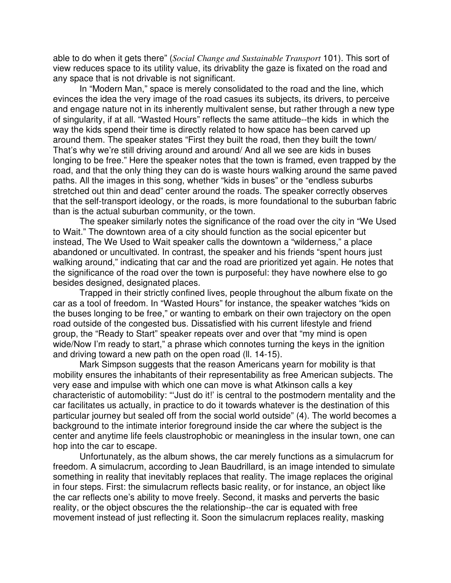able to do when it gets there" (*Social Change and Sustainable Transport* 101). This sort of view reduces space to its utility value, its drivablity the gaze is fixated on the road and any space that is not drivable is not significant.

 In "Modern Man," space is merely consolidated to the road and the line, which evinces the idea the very image of the road casues its subjects, its drivers, to perceive and engage nature not in its inherently multivalent sense, but rather through a new type of singularity, if at all. "Wasted Hours" reflects the same attitude--the kids in which the way the kids spend their time is directly related to how space has been carved up around them. The speaker states "First they built the road, then they built the town/ That's why we're still driving around and around/ And all we see are kids in buses longing to be free." Here the speaker notes that the town is framed, even trapped by the road, and that the only thing they can do is waste hours walking around the same paved paths. All the images in this song, whether "kids in buses" or the "endless suburbs stretched out thin and dead" center around the roads. The speaker correctly observes that the self-transport ideology, or the roads, is more foundational to the suburban fabric than is the actual suburban community, or the town.

 The speaker similarly notes the significance of the road over the city in "We Used to Wait." The downtown area of a city should function as the social epicenter but instead, The We Used to Wait speaker calls the downtown a "wilderness," a place abandoned or uncultivated. In contrast, the speaker and his friends "spent hours just walking around," indicating that car and the road are prioritized yet again. He notes that the significance of the road over the town is purposeful: they have nowhere else to go besides designed, designated places.

 Trapped in their strictly confined lives, people throughout the album fixate on the car as a tool of freedom. In "Wasted Hours" for instance, the speaker watches "kids on the buses longing to be free," or wanting to embark on their own trajectory on the open road outside of the congested bus. Dissatisfied with his current lifestyle and friend group, the "Ready to Start" speaker repeats over and over that "my mind is open wide/Now I'm ready to start," a phrase which connotes turning the keys in the ignition and driving toward a new path on the open road (ll. 14-15).

 Mark Simpson suggests that the reason Americans yearn for mobility is that mobility ensures the inhabitants of their representability as free American subjects. The very ease and impulse with which one can move is what Atkinson calls a key characteristic of automobility: "'Just do it!' is central to the postmodern mentality and the car facilitates us actually, in practice to do it towards whatever is the destination of this particular journey but sealed off from the social world outside" (4). The world becomes a background to the intimate interior foreground inside the car where the subject is the center and anytime life feels claustrophobic or meaningless in the insular town, one can hop into the car to escape.

 Unfortunately, as the album shows, the car merely functions as a simulacrum for freedom. A simulacrum, according to Jean Baudrillard, is an image intended to simulate something in reality that inevitably replaces that reality. The image replaces the original in four steps. First: the simulacrum reflects basic reality, or for instance, an object like the car reflects one's ability to move freely. Second, it masks and perverts the basic reality, or the object obscures the the relationship--the car is equated with free movement instead of just reflecting it. Soon the simulacrum replaces reality, masking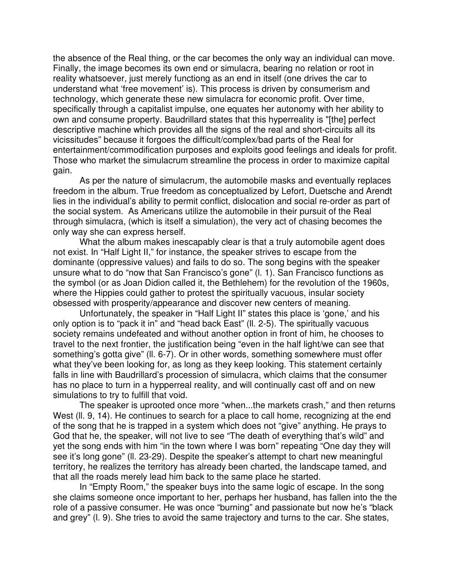the absence of the Real thing, or the car becomes the only way an individual can move. Finally, the image becomes its own end or simulacra, bearing no relation or root in reality whatsoever, just merely functiong as an end in itself (one drives the car to understand what 'free movement' is). This process is driven by consumerism and technology, which generate these new simulacra for economic profit. Over time, specifically through a capitalist impulse, one equates her autonomy with her ability to own and consume property. Baudrillard states that this hyperreality is "[the] perfect descriptive machine which provides all the signs of the real and short-circuits all its vicissitudes" because it forgoes the difficult/complex/bad parts of the Real for entertainment/commodification purposes and exploits good feelings and ideals for profit. Those who market the simulacrum streamline the process in order to maximize capital gain.

 As per the nature of simulacrum, the automobile masks and eventually replaces freedom in the album. True freedom as conceptualized by Lefort, Duetsche and Arendt lies in the individual's ability to permit conflict, dislocation and social re-order as part of the social system. As Americans utilize the automobile in their pursuit of the Real through simulacra, (which is itself a simulation), the very act of chasing becomes the only way she can express herself.

 What the album makes inescapably clear is that a truly automobile agent does not exist. In "Half Light II," for instance, the speaker strives to escape from the dominante (oppressive values) and fails to do so. The song begins with the speaker unsure what to do "now that San Francisco's gone" (l. 1). San Francisco functions as the symbol (or as Joan Didion called it, the Bethlehem) for the revolution of the 1960s, where the Hippies could gather to protest the spiritually vacuous, insular society obsessed with prosperity/appearance and discover new centers of meaning.

 Unfortunately, the speaker in "Half Light II" states this place is 'gone,' and his only option is to "pack it in" and "head back East" (ll. 2-5). The spiritually vacuous society remains undefeated and without another option in front of him, he chooses to travel to the next frontier, the justification being "even in the half light/we can see that something's gotta give" (ll. 6-7). Or in other words, something somewhere must offer what they've been looking for, as long as they keep looking. This statement certainly falls in line with Baudrillard's procession of simulacra, which claims that the consumer has no place to turn in a hypperreal reality, and will continually cast off and on new simulations to try to fulfill that void.

 The speaker is uprooted once more "when...the markets crash," and then returns West (II. 9, 14). He continues to search for a place to call home, recognizing at the end of the song that he is trapped in a system which does not "give" anything. He prays to God that he, the speaker, will not live to see "The death of everything that's wild" and yet the song ends with him "in the town where I was born" repeating "One day they will see it's long gone" (ll. 23-29). Despite the speaker's attempt to chart new meaningful territory, he realizes the territory has already been charted, the landscape tamed, and that all the roads merely lead him back to the same place he started.

 In "Empty Room," the speaker buys into the same logic of escape. In the song she claims someone once important to her, perhaps her husband, has fallen into the the role of a passive consumer. He was once "burning" and passionate but now he's "black and grey" (l. 9). She tries to avoid the same trajectory and turns to the car. She states,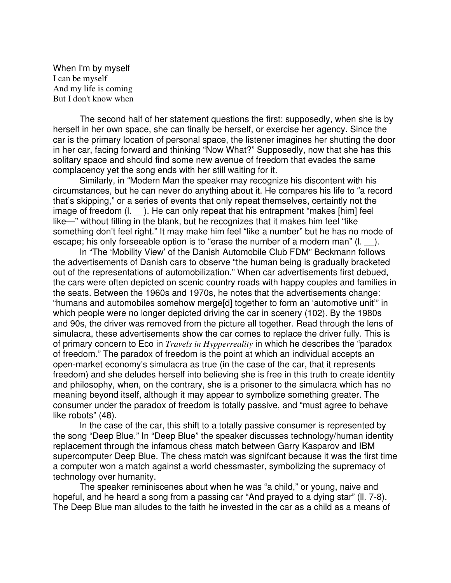When I'm by myself I can be myself And my life is coming But I don't know when

 The second half of her statement questions the first: supposedly, when she is by herself in her own space, she can finally be herself, or exercise her agency. Since the car is the primary location of personal space, the listener imagines her shutting the door in her car, facing forward and thinking "Now What?" Supposedly, now that she has this solitary space and should find some new avenue of freedom that evades the same complacency yet the song ends with her still waiting for it.

 Similarly, in "Modern Man the speaker may recognize his discontent with his circumstances, but he can never do anything about it. He compares his life to "a record that's skipping," or a series of events that only repeat themselves, certaintly not the image of freedom (l. \_\_). He can only repeat that his entrapment "makes [him] feel like—" without filling in the blank, but he recognizes that it makes him feel "like something don't feel right." It may make him feel "like a number" but he has no mode of escape; his only forseeable option is to "erase the number of a modern man" (l.

 In "The 'Mobility View' of the Danish Automobile Club FDM" Beckmann follows the advertisements of Danish cars to observe "the human being is gradually bracketed out of the representations of automobilization." When car advertisements first debued, the cars were often depicted on scenic country roads with happy couples and families in the seats. Between the 1960s and 1970s, he notes that the advertisements change: "humans and automobiles somehow merge[d] together to form an 'automotive unit'" in which people were no longer depicted driving the car in scenery (102). By the 1980s and 90s, the driver was removed from the picture all together. Read through the lens of simulacra, these advertisements show the car comes to replace the driver fully. This is of primary concern to Eco in *Travels in Hypperreality* in which he describes the "paradox of freedom." The paradox of freedom is the point at which an individual accepts an open-market economy's simulacra as true (in the case of the car, that it represents freedom) and she deludes herself into believing she is free in this truth to create identity and philosophy, when, on the contrary, she is a prisoner to the simulacra which has no meaning beyond itself, although it may appear to symbolize something greater. The consumer under the paradox of freedom is totally passive, and "must agree to behave like robots" (48).

 In the case of the car, this shift to a totally passive consumer is represented by the song "Deep Blue." In "Deep Blue" the speaker discusses technology/human identity replacement through the infamous chess match between Garry Kasparov and IBM supercomputer Deep Blue. The chess match was signifcant because it was the first time a computer won a match against a world chessmaster, symbolizing the supremacy of technology over humanity.

 The speaker reminiscenes about when he was "a child," or young, naive and hopeful, and he heard a song from a passing car "And prayed to a dying star" (ll. 7-8). The Deep Blue man alludes to the faith he invested in the car as a child as a means of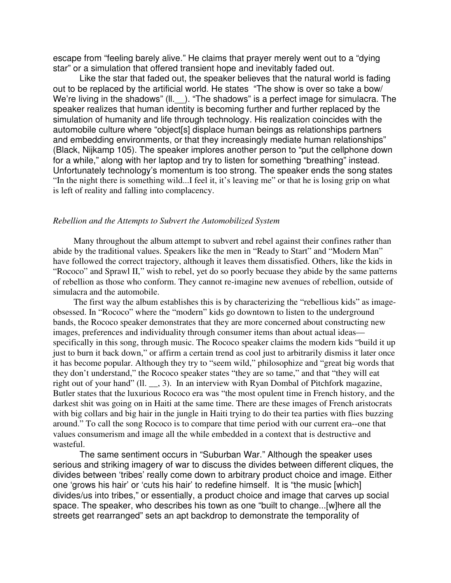escape from "feeling barely alive." He claims that prayer merely went out to a "dying star" or a simulation that offered transient hope and inevitably faded out.

 Like the star that faded out, the speaker believes that the natural world is fading out to be replaced by the artificial world. He states "The show is over so take a bow/ We're living in the shadows" (II. ). "The shadows" is a perfect image for simulacra. The speaker realizes that human identity is becoming further and further replaced by the simulation of humanity and life through technology. His realization coincides with the automobile culture where "object[s] displace human beings as relationships partners and embedding environments, or that they increasingly mediate human relationships" (Black, Nijkamp 105). The speaker implores another person to "put the cellphone down for a while," along with her laptop and try to listen for something "breathing" instead. Unfortunately technology's momentum is too strong. The speaker ends the song states "In the night there is something wild...I feel it, it's leaving me" or that he is losing grip on what is left of reality and falling into complacency.

#### *Rebellion and the Attempts to Subvert the Automobilized System*

Many throughout the album attempt to subvert and rebel against their confines rather than abide by the traditional values. Speakers like the men in "Ready to Start" and "Modern Man" have followed the correct trajectory, although it leaves them dissatisfied. Others, like the kids in "Rococo" and Sprawl II," wish to rebel, yet do so poorly becuase they abide by the same patterns of rebellion as those who conform. They cannot re-imagine new avenues of rebellion, outside of simulacra and the automobile.

 The first way the album establishes this is by characterizing the "rebellious kids" as imageobsessed. In "Rococo" where the "modern" kids go downtown to listen to the underground bands, the Rococo speaker demonstrates that they are more concerned about constructing new images, preferences and individuality through consumer items than about actual ideas specifically in this song, through music. The Rococo speaker claims the modern kids "build it up just to burn it back down," or affirm a certain trend as cool just to arbitrarily dismiss it later once it has become popular. Although they try to "seem wild," philosophize and "great big words that they don't understand," the Rococo speaker states "they are so tame," and that "they will eat right out of your hand" (ll. \_\_, 3). In an interview with Ryan Dombal of Pitchfork magazine, Butler states that the luxurious Rococo era was "the most opulent time in French history, and the darkest shit was going on in Haiti at the same time. There are these images of French aristocrats with big collars and big hair in the jungle in Haiti trying to do their tea parties with flies buzzing around." To call the song Rococo is to compare that time period with our current era--one that values consumerism and image all the while embedded in a context that is destructive and wasteful.

 The same sentiment occurs in "Suburban War." Although the speaker uses serious and striking imagery of war to discuss the divides between different cliques, the divides between 'tribes' really come down to arbitrary product choice and image. Either one 'grows his hair' or 'cuts his hair' to redefine himself. It is "the music [which] divides/us into tribes," or essentially, a product choice and image that carves up social space. The speaker, who describes his town as one "built to change...[w]here all the streets get rearranged" sets an apt backdrop to demonstrate the temporality of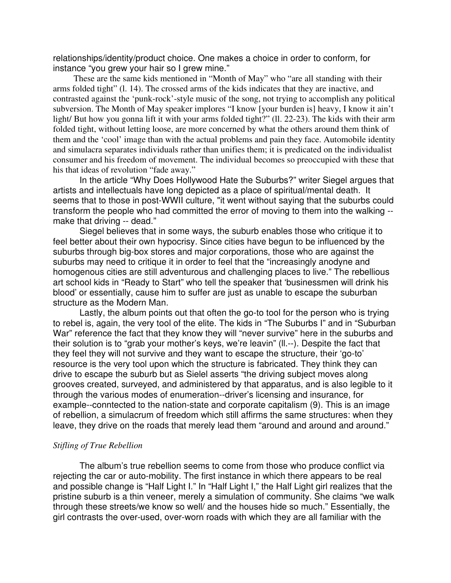relationships/identity/product choice. One makes a choice in order to conform, for instance "you grew your hair so I grew mine."

 These are the same kids mentioned in "Month of May" who "are all standing with their arms folded tight" (l. 14). The crossed arms of the kids indicates that they are inactive, and contrasted against the 'punk-rock'-style music of the song, not trying to accomplish any political subversion. The Month of May speaker implores "I know [your burden is] heavy, I know it ain't light/ But how you gonna lift it with your arms folded tight?" (ll. 22-23). The kids with their arm folded tight, without letting loose, are more concerned by what the others around them think of them and the 'cool' image than with the actual problems and pain they face. Automobile identity and simulacra separates individuals rather than unifies them; it is predicated on the individualist consumer and his freedom of movement. The individual becomes so preoccupied with these that his that ideas of revolution "fade away."

 In the article "Why Does Hollywood Hate the Suburbs?" writer Siegel argues that artists and intellectuals have long depicted as a place of spiritual/mental death. It seems that to those in post-WWII culture, "it went without saying that the suburbs could transform the people who had committed the error of moving to them into the walking - make that driving -- dead."

 Siegel believes that in some ways, the suburb enables those who critique it to feel better about their own hypocrisy. Since cities have begun to be influenced by the suburbs through big-box stores and major corporations, those who are against the suburbs may need to critique it in order to feel that the "increasingly anodyne and homogenous cities are still adventurous and challenging places to live." The rebellious art school kids in "Ready to Start" who tell the speaker that 'businessmen will drink his blood' or essentially, cause him to suffer are just as unable to escape the suburban structure as the Modern Man.

 Lastly, the album points out that often the go-to tool for the person who is trying to rebel is, again, the very tool of the elite. The kids in "The Suburbs I" and in "Suburban War" reference the fact that they know they will "never survive" here in the suburbs and their solution is to "grab your mother's keys, we're leavin" (ll.--). Despite the fact that they feel they will not survive and they want to escape the structure, their 'go-to' resource is the very tool upon which the structure is fabricated. They think they can drive to escape the suburb but as Sielel asserts "the driving subject moves along grooves created, surveyed, and administered by that apparatus, and is also legible to it through the various modes of enumeration--driver's licensing and insurance, for example--conntected to the nation-state and corporate capitalism (9). This is an image of rebellion, a simulacrum of freedom which still affirms the same structures: when they leave, they drive on the roads that merely lead them "around and around and around."

### *Stifling of True Rebellion*

 The album's true rebellion seems to come from those who produce conflict via rejecting the car or auto-mobility. The first instance in which there appears to be real and possible change is "Half Light I." In "Half Light I," the Half Light girl realizes that the pristine suburb is a thin veneer, merely a simulation of community. She claims "we walk through these streets/we know so well/ and the houses hide so much." Essentially, the girl contrasts the over-used, over-worn roads with which they are all familiar with the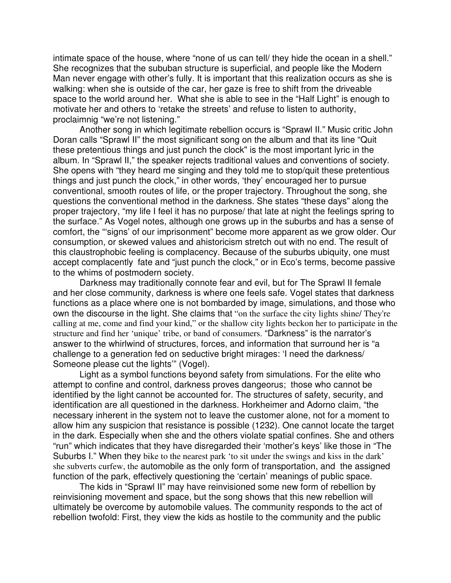intimate space of the house, where "none of us can tell/ they hide the ocean in a shell." She recognizes that the sububan structure is superficial, and people like the Modern Man never engage with other's fully. It is important that this realization occurs as she is walking: when she is outside of the car, her gaze is free to shift from the driveable space to the world around her. What she is able to see in the "Half Light" is enough to motivate her and others to 'retake the streets' and refuse to listen to authority, proclaimnig "we're not listening."

 Another song in which legitimate rebellion occurs is "Sprawl II." Music critic John Doran calls "Sprawl II" the most significant song on the album and that its line "Quit these pretentious things and just punch the clock" is the most important lyric in the album. In "Sprawl II," the speaker rejects traditional values and conventions of society. She opens with "they heard me singing and they told me to stop/quit these pretentious things and just punch the clock," in other words, 'they' encouraged her to pursue conventional, smooth routes of life, or the proper trajectory. Throughout the song, she questions the conventional method in the darkness. She states "these days" along the proper trajectory, "my life I feel it has no purpose/ that late at night the feelings spring to the surface." As Vogel notes, although one grows up in the suburbs and has a sense of comfort, the "'signs' of our imprisonment" become more apparent as we grow older. Our consumption, or skewed values and ahistoricism stretch out with no end. The result of this claustrophobic feeling is complacency. Because of the suburbs ubiquity, one must accept complacently fate and "just punch the clock," or in Eco's terms, become passive to the whims of postmodern society.

 Darkness may traditionally connote fear and evil, but for The Sprawl II female and her close community, darkness is where one feels safe. Vogel states that darkness functions as a place where one is not bombarded by image, simulations, and those who own the discourse in the light. She claims that "on the surface the city lights shine/ They're calling at me, come and find your kind," or the shallow city lights beckon her to participate in the structure and find her 'unique' tribe, or band of consumers. "Darkness" is the narrator's answer to the whirlwind of structures, forces, and information that surround her is "a challenge to a generation fed on seductive bright mirages: 'I need the darkness/ Someone please cut the lights'" (Vogel).

 Light as a symbol functions beyond safety from simulations. For the elite who attempt to confine and control, darkness proves dangeorus; those who cannot be identified by the light cannot be accounted for. The structures of safety, security, and identification are all questioned in the darkness. Horkheimer and Adorno claim, "the necessary inherent in the system not to leave the customer alone, not for a moment to allow him any suspicion that resistance is possible (1232). One cannot locate the target in the dark. Especially when she and the others violate spatial confines. She and others "run" which indicates that they have disregarded their 'mother's keys' like those in "The Suburbs I." When they bike to the nearest park 'to sit under the swings and kiss in the dark' she subverts curfew, the automobile as the only form of transportation, and the assigned function of the park, effectively questioning the 'certain' meanings of public space.

 The kids in "Sprawl II" may have reinvisioned some new form of rebellion by reinvisioning movement and space, but the song shows that this new rebellion will ultimately be overcome by automobile values. The community responds to the act of rebellion twofold: First, they view the kids as hostile to the community and the public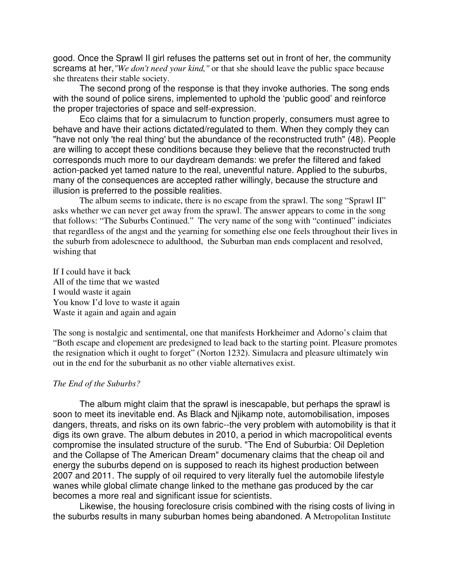good. Once the Sprawl II girl refuses the patterns set out in front of her, the community screams at her,*"We don't need your kind,"* or that she should leave the public space because she threatens their stable society.

 The second prong of the response is that they invoke authories. The song ends with the sound of police sirens, implemented to uphold the 'public good' and reinforce the proper trajectories of space and self-expression.

 Eco claims that for a simulacrum to function properly, consumers must agree to behave and have their actions dictated/regulated to them. When they comply they can "have not only 'the real thing' but the abundance of the reconstructed truth" (48). People are willing to accept these conditions because they believe that the reconstructed truth corresponds much more to our daydream demands: we prefer the filtered and faked action-packed yet tamed nature to the real, uneventful nature. Applied to the suburbs, many of the consequences are accepted rather willingly, because the structure and illusion is preferred to the possible realities.

 The album seems to indicate, there is no escape from the sprawl. The song "Sprawl II" asks whether we can never get away from the sprawl. The answer appears to come in the song that follows: "The Suburbs Continued." The very name of the song with "continued" indiciates that regardless of the angst and the yearning for something else one feels throughout their lives in the suburb from adolescnece to adulthood, the Suburban man ends complacent and resolved, wishing that

If I could have it back All of the time that we wasted I would waste it again You know I'd love to waste it again Waste it again and again and again

The song is nostalgic and sentimental, one that manifests Horkheimer and Adorno's claim that "Both escape and elopement are predesigned to lead back to the starting point. Pleasure promotes the resignation which it ought to forget" (Norton 1232). Simulacra and pleasure ultimately win out in the end for the suburbanit as no other viable alternatives exist.

#### *The End of the Suburbs?*

 The album might claim that the sprawl is inescapable, but perhaps the sprawl is soon to meet its inevitable end. As Black and Njikamp note, automobilisation, imposes dangers, threats, and risks on its own fabric--the very problem with automobility is that it digs its own grave. The album debutes in 2010, a period in which macropolitical events compromise the insulated structure of the surub. "The End of Suburbia: Oil Depletion and the Collapse of The American Dream" documenary claims that the cheap oil and energy the suburbs depend on is supposed to reach its highest production between 2007 and 2011. The supply of oil required to very literally fuel the automobile lifestyle wanes while global climate change linked to the methane gas produced by the car becomes a more real and significant issue for scientists.

 Likewise, the housing foreclosure crisis combined with the rising costs of living in the suburbs results in many suburban homes being abandoned. A Metropolitan Institute